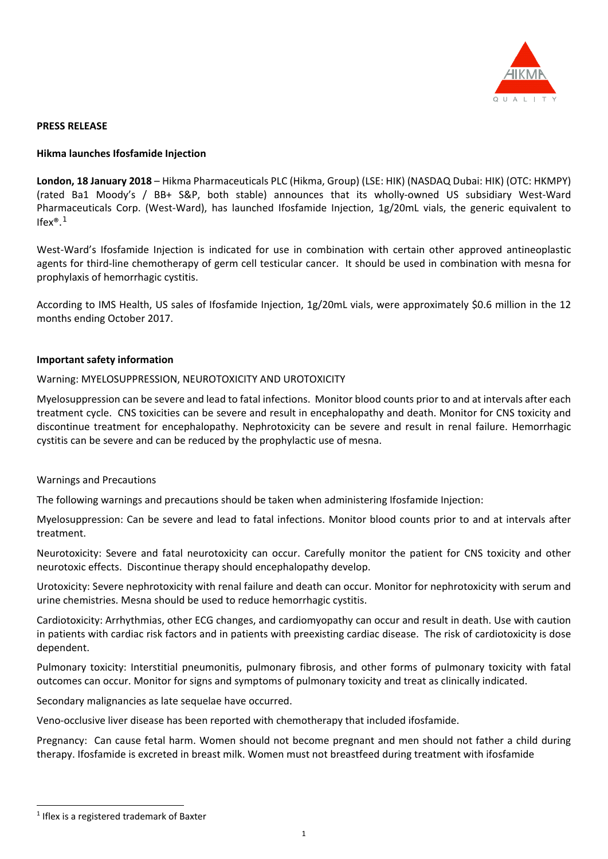

### **PRESS RELEASE**

## **Hikma launches Ifosfamide Injection**

**London, 18 January 2018** – Hikma Pharmaceuticals PLC (Hikma, Group) (LSE: HIK) (NASDAQ Dubai: HIK) (OTC: HKMPY) (rated Ba1 Moody's / BB+ S&P, both stable) announces that its wholly-owned US subsidiary West-Ward Pharmaceuticals Corp. (West-Ward), has launched Ifosfamide Injection, 1g/20mL vials, the generic equivalent to Ifex®. [1](#page-0-0)

West-Ward's Ifosfamide Injection is indicated for use in combination with certain other approved antineoplastic agents for third-line chemotherapy of germ cell testicular cancer. It should be used in combination with mesna for prophylaxis of hemorrhagic cystitis.

According to IMS Health, US sales of Ifosfamide Injection, 1g/20mL vials, were approximately \$0.6 million in the 12 months ending October 2017.

## **Important safety information**

## Warning: MYELOSUPPRESSION, NEUROTOXICITY AND UROTOXICITY

Myelosuppression can be severe and lead to fatal infections. Monitor blood counts prior to and at intervals after each treatment cycle. CNS toxicities can be severe and result in encephalopathy and death. Monitor for CNS toxicity and discontinue treatment for encephalopathy. Nephrotoxicity can be severe and result in renal failure. Hemorrhagic cystitis can be severe and can be reduced by the prophylactic use of mesna.

#### Warnings and Precautions

The following warnings and precautions should be taken when administering Ifosfamide Injection:

Myelosuppression: Can be severe and lead to fatal infections. Monitor blood counts prior to and at intervals after treatment.

Neurotoxicity: Severe and fatal neurotoxicity can occur. Carefully monitor the patient for CNS toxicity and other neurotoxic effects. Discontinue therapy should encephalopathy develop.

Urotoxicity: Severe nephrotoxicity with renal failure and death can occur. Monitor for nephrotoxicity with serum and urine chemistries. Mesna should be used to reduce hemorrhagic cystitis.

Cardiotoxicity: Arrhythmias, other ECG changes, and cardiomyopathy can occur and result in death. Use with caution in patients with cardiac risk factors and in patients with preexisting cardiac disease. The risk of cardiotoxicity is dose dependent.

Pulmonary toxicity: Interstitial pneumonitis, pulmonary fibrosis, and other forms of pulmonary toxicity with fatal outcomes can occur. Monitor for signs and symptoms of pulmonary toxicity and treat as clinically indicated.

Secondary malignancies as late sequelae have occurred.

Veno-occlusive liver disease has been reported with chemotherapy that included ifosfamide.

Pregnancy: Can cause fetal harm. Women should not become pregnant and men should not father a child during therapy. Ifosfamide is excreted in breast milk. Women must not breastfeed during treatment with ifosfamide

-

<span id="page-0-0"></span> $1$  Iflex is a registered trademark of Baxter